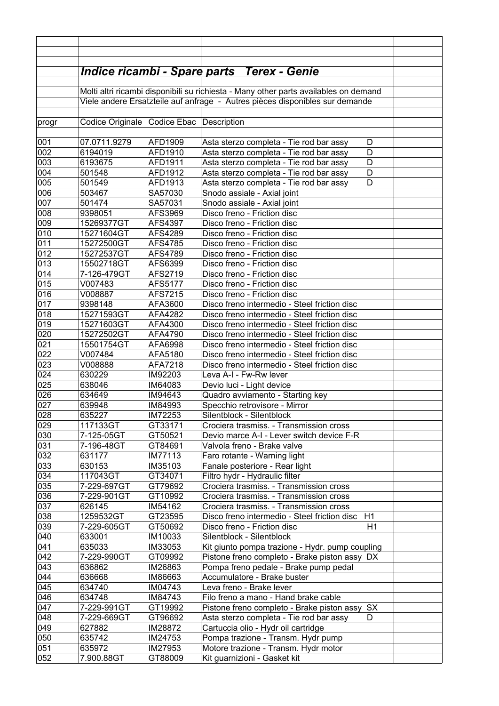|            |                                                                              |                           | <u> Indice ricambi - Spare parts Terex - Genie</u>                                               |  |
|------------|------------------------------------------------------------------------------|---------------------------|--------------------------------------------------------------------------------------------------|--|
|            |                                                                              |                           | Molti altri ricambi disponibili su richiesta - Many other parts availables on demand             |  |
|            | Viele andere Ersatzteile auf anfrage - Autres pièces disponibles sur demande |                           |                                                                                                  |  |
|            |                                                                              |                           |                                                                                                  |  |
| progr      | Codice Originale                                                             | Codice Ebac   Description |                                                                                                  |  |
|            |                                                                              |                           |                                                                                                  |  |
| 001        | 07.0711.9279                                                                 | AFD1909                   | Asta sterzo completa - Tie rod bar assy<br>D                                                     |  |
| 002        | 6194019                                                                      | AFD1910                   | Asta sterzo completa - Tie rod bar assy<br>D                                                     |  |
| 003        | 6193675                                                                      | AFD1911                   | D<br>Asta sterzo completa - Tie rod bar assy                                                     |  |
| 004        | 501548                                                                       | AFD1912                   | Asta sterzo completa - Tie rod bar assy<br>D                                                     |  |
| 005<br>006 | 501549<br>503467                                                             | AFD1913                   | D<br>Asta sterzo completa - Tie rod bar assy                                                     |  |
| 007        | 501474                                                                       | SA57030<br>SA57031        | Snodo assiale - Axial joint<br>Snodo assiale - Axial joint                                       |  |
| 008        | 9398051                                                                      | AFS3969                   | Disco freno - Friction disc                                                                      |  |
| 009        | 15269377GT                                                                   | AFS4397                   | Disco freno - Friction disc                                                                      |  |
| 010        | 15271604GT                                                                   | AFS4289                   | Disco freno - Friction disc                                                                      |  |
| 011        | 15272500GT                                                                   | AFS4785                   | Disco freno - Friction disc                                                                      |  |
| 012        | 15272537GT                                                                   | AFS4789                   | Disco freno - Friction disc                                                                      |  |
| 013        | 15502718GT                                                                   | AFS6399                   | Disco freno - Friction disc                                                                      |  |
| 014        | 7-126-479GT                                                                  | AFS2719                   | Disco freno - Friction disc                                                                      |  |
| 015        | V007483                                                                      | AFS5177                   | Disco freno - Friction disc                                                                      |  |
| 016        | V008887                                                                      | AFS7215                   | Disco freno - Friction disc                                                                      |  |
| 017        | 9398148                                                                      | AFA3600                   | Disco freno intermedio - Steel friction disc                                                     |  |
| 018        | 15271593GT                                                                   | AFA4282                   | Disco freno intermedio - Steel friction disc                                                     |  |
| 019        | 15271603GT                                                                   | AFA4300                   | Disco freno intermedio - Steel friction disc                                                     |  |
| 020        | 15272502GT                                                                   | AFA4790                   | Disco freno intermedio - Steel friction disc                                                     |  |
| 021        | 15501754GT                                                                   | AFA6998                   | Disco freno intermedio - Steel friction disc                                                     |  |
| 022        | V007484                                                                      | AFA5180                   | Disco freno intermedio - Steel friction disc                                                     |  |
| 023        | V008888<br>630229                                                            | AFA7218                   | Disco freno intermedio - Steel friction disc                                                     |  |
| 024<br>025 | 638046                                                                       | IM92203<br>IM64083        | Leva A-I - Fw-Rw lever                                                                           |  |
| 026        | 634649                                                                       | IM94643                   | Devio luci - Light device<br>Quadro avviamento - Starting key                                    |  |
| 027        | 639948                                                                       | IM84993                   | Specchio retrovisore - Mirror                                                                    |  |
| 028        | 635227                                                                       | IM72253                   | Silentblock - Silentblock                                                                        |  |
| 029        | 117133GT                                                                     | GT33171                   | Crociera trasmiss. - Transmission cross                                                          |  |
| 030        | 7-125-05GT                                                                   | GT50521                   | Devio marce A-I - Lever switch device F-R                                                        |  |
| 031        | 7-196-48GT                                                                   | GT84691                   | Valvola freno - Brake valve                                                                      |  |
| 032        | 631177                                                                       | IM77113                   | Faro rotante - Warning light                                                                     |  |
| 033        | 630153                                                                       | IM35103                   | Fanale posteriore - Rear light                                                                   |  |
| 034        | 117043GT                                                                     | GT34071                   | Filtro hydr - Hydraulic filter                                                                   |  |
| 035        | 7-229-697GT                                                                  | GT79692                   | Crociera trasmiss. - Transmission cross                                                          |  |
| 036        | 7-229-901GT                                                                  | GT10992                   | Crociera trasmiss. - Transmission cross                                                          |  |
| 037        | 626145                                                                       | IM54162                   | Crociera trasmiss. - Transmission cross                                                          |  |
| 038        | 1259532GT                                                                    | GT23595                   | Disco freno intermedio - Steel friction disc<br>H1                                               |  |
| 039        | 7-229-605GT                                                                  | GT50692                   | Disco freno - Friction disc<br>H1                                                                |  |
| 040<br>041 | 633001<br>635033                                                             | IM10033<br>IM33053        | Silentblock - Silentblock                                                                        |  |
| 042        | 7-229-990GT                                                                  | GT09992                   | Kit giunto pompa trazione - Hydr. pump coupling<br>Pistone freno completo - Brake piston assy DX |  |
| 043        | 636862                                                                       | IM26863                   | Pompa freno pedale - Brake pump pedal                                                            |  |
| 044        | 636668                                                                       | IM86663                   | Accumulatore - Brake buster                                                                      |  |
| 045        | 634740                                                                       | IM04743                   | Leva freno - Brake lever                                                                         |  |
| 046        | 634748                                                                       | IM84743                   | Filo freno a mano - Hand brake cable                                                             |  |
| 047        | 7-229-991GT                                                                  | GT19992                   | Pistone freno completo - Brake piston assy<br><b>SX</b>                                          |  |
| 048        | 7-229-669GT                                                                  | GT96692                   | Asta sterzo completa - Tie rod bar assy<br>D                                                     |  |
| 049        | 627882                                                                       | IM28872                   | Cartuccia olio - Hydr oil cartridge                                                              |  |
| 050        | 635742                                                                       | IM24753                   | Pompa trazione - Transm. Hydr pump                                                               |  |
| 051        | 635972                                                                       | IM27953                   | Motore trazione - Transm. Hydr motor                                                             |  |
| 052        | 7.900.88GT                                                                   | GT88009                   | Kit guarnizioni - Gasket kit                                                                     |  |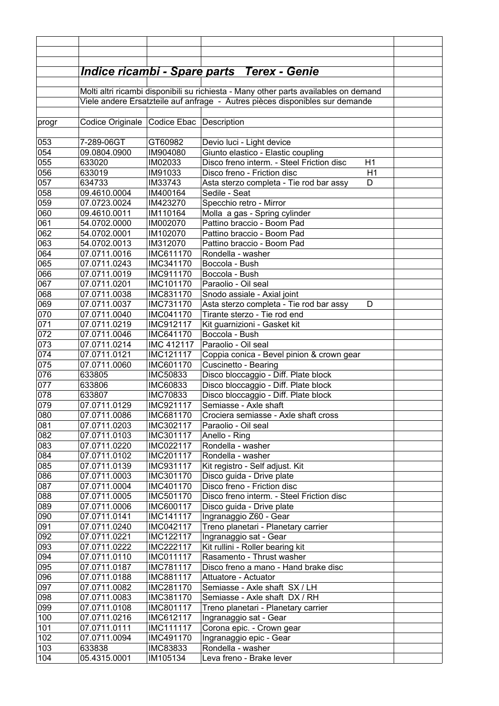|            |                                                                                      |                        | <u> Indice ricambi - Spare parts   Terex - Genie</u>          |  |
|------------|--------------------------------------------------------------------------------------|------------------------|---------------------------------------------------------------|--|
|            |                                                                                      |                        |                                                               |  |
|            | Molti altri ricambi disponibili su richiesta - Many other parts availables on demand |                        |                                                               |  |
|            | Viele andere Ersatzteile auf anfrage - Autres pièces disponibles sur demande         |                        |                                                               |  |
|            |                                                                                      |                        |                                                               |  |
| progr      | Codice Originale Codice Ebac Description                                             |                        |                                                               |  |
|            |                                                                                      |                        |                                                               |  |
| 053        | 7-289-06GT                                                                           | GT60982                | Devio luci - Light device                                     |  |
| 054        | 09.0804.0900                                                                         | IM904080               | Giunto elastico - Elastic coupling                            |  |
| 055        | 633020                                                                               | IM02033                | Disco freno interm. - Steel Friction disc<br>H1               |  |
| 056        | 633019                                                                               | IM91033                | Disco freno - Friction disc<br>H1                             |  |
| 057<br>058 | 634733                                                                               | IM33743                | Asta sterzo completa - Tie rod bar assy<br>D<br>Sedile - Seat |  |
| 059        | 09.4610.0004                                                                         | IM400164<br>IM423270   | Specchio retro - Mirror                                       |  |
| 060        | 07.0723.0024<br>09.4610.0011                                                         | IM110164               | Molla a gas - Spring cylinder                                 |  |
| 061        | 54.0702.0000                                                                         | IM002070               | Pattino braccio - Boom Pad                                    |  |
| 062        | 54.0702.0001                                                                         | IM102070               | Pattino braccio - Boom Pad                                    |  |
| 063        | 54.0702.0013                                                                         | IM312070               | Pattino braccio - Boom Pad                                    |  |
| 064        | 07.0711.0016                                                                         | IMC611170              | Rondella - washer                                             |  |
| 065        | 07.0711.0243                                                                         | IMC341170              | Boccola - Bush                                                |  |
| 066        | 07.0711.0019                                                                         | IMC911170              | Boccola - Bush                                                |  |
| 067        | 07.0711.0201                                                                         | IMC101170              | Paraolio - Oil seal                                           |  |
| 068        | 07.0711.0038                                                                         | IMC831170              | Snodo assiale - Axial joint                                   |  |
| 069        | 07.0711.0037                                                                         | IMC731170              | Asta sterzo completa - Tie rod bar assy<br>D                  |  |
| 070        | 07.0711.0040                                                                         | IMC041170              | Tirante sterzo - Tie rod end                                  |  |
| 071        | 07.0711.0219                                                                         | IMC912117              | Kit guarnizioni - Gasket kit                                  |  |
| 072        | 07.0711.0046                                                                         | IMC641170              | Boccola - Bush                                                |  |
| 073        | 07.0711.0214                                                                         | IMC 412117             | Paraolio - Oil seal                                           |  |
| 074        | 07.0711.0121                                                                         | IMC121117              | Coppia conica - Bevel pinion & crown gear                     |  |
| 075        | 07.0711.0060                                                                         | IMC601170              | Cuscinetto - Bearing                                          |  |
| 076        | 633805                                                                               | IMC50833               | Disco bloccaggio - Diff. Plate block                          |  |
| 077        | 633806                                                                               | IMC60833               | Disco bloccaggio - Diff. Plate block                          |  |
| 078        | 633807                                                                               | <b>IMC70833</b>        | Disco bloccaggio - Diff. Plate block                          |  |
| 079        | 07.0711.0129                                                                         | IMC921117              | Semiasse - Axle shaft                                         |  |
| 080        | 07.0711.0086                                                                         | IMC681170              | Crociera semiasse - Axle shaft cross                          |  |
| 081        | 07.0711.0203                                                                         | IMC302117              | Paraolio - Oil seal                                           |  |
| 082<br>083 | 07.0711.0103<br>07.0711.0220                                                         | IMC301117<br>IMC022117 | Anello - Ring<br>Rondella - washer                            |  |
| 084        | 07.0711.0102                                                                         | IMC201117              | Rondella - washer                                             |  |
| 085        | 07.0711.0139                                                                         | IMC931117              | Kit registro - Self adjust. Kit                               |  |
| 086        | 07.0711.0003                                                                         | IMC301170              | Disco guida - Drive plate                                     |  |
| 087        | 07.0711.0004                                                                         | IMC401170              | Disco freno - Friction disc                                   |  |
| 088        | 07.0711.0005                                                                         | IMC501170              | Disco freno interm. - Steel Friction disc                     |  |
| 089        | 07.0711.0006                                                                         | IMC600117              | Disco guida - Drive plate                                     |  |
| 090        | 07.0711.0141                                                                         | IMC141117              | Ingranaggio Z60 - Gear                                        |  |
| 091        | 07.0711.0240                                                                         | IMC042117              | Treno planetari - Planetary carrier                           |  |
| 092        | 07.0711.0221                                                                         | IMC122117              | Ingranaggio sat - Gear                                        |  |
| 093        | 07.0711.0222                                                                         | <b>IMC222117</b>       | Kit rullini - Roller bearing kit                              |  |
| 094        | 07.0711.0110                                                                         | <b>IMC011117</b>       | Rasamento - Thrust washer                                     |  |
| 095        | 07.0711.0187                                                                         | IMC781117              | Disco freno a mano - Hand brake disc                          |  |
| 096        | 07.0711.0188                                                                         | IMC881117              | Attuatore - Actuator                                          |  |
| 097        | 07.0711.0082                                                                         | IMC281170              | Semiasse - Axle shaft SX / LH                                 |  |
| 098        | 07.0711.0083                                                                         | IMC381170              | Semiasse - Axle shaft DX / RH                                 |  |
| 099        | 07.0711.0108                                                                         | IMC801117              | Treno planetari - Planetary carrier                           |  |
| 100        | 07.0711.0216                                                                         | IMC612117              | Ingranaggio sat - Gear                                        |  |
| 101        | 07.0711.0111                                                                         | <b>IMC111117</b>       | Corona epic. - Crown gear                                     |  |
| 102        | 07.0711.0094                                                                         | IMC491170              | Ingranaggio epic - Gear                                       |  |
| 103        | 633838                                                                               | IMC83833               | Rondella - washer                                             |  |
| 104        | 05.4315.0001                                                                         | IM105134               | Leva freno - Brake lever                                      |  |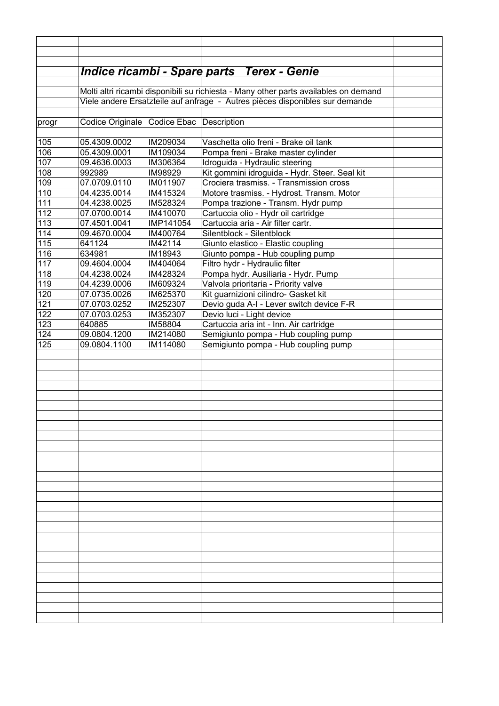|            |                                                                                      |                     | <b>Indice ricambi - Spare parts Terex - Genie</b>                               |  |
|------------|--------------------------------------------------------------------------------------|---------------------|---------------------------------------------------------------------------------|--|
|            |                                                                                      |                     |                                                                                 |  |
|            | Molti altri ricambi disponibili su richiesta - Many other parts availables on demand |                     |                                                                                 |  |
|            |                                                                                      |                     | Viele andere Ersatzteile auf anfrage - Autres pièces disponibles sur demande    |  |
|            |                                                                                      |                     |                                                                                 |  |
| progr      | Codice Originale                                                                     | Codice Ebac         | Description                                                                     |  |
|            |                                                                                      |                     |                                                                                 |  |
| 105        | 05.4309.0002                                                                         | IM209034            | Vaschetta olio freni - Brake oil tank                                           |  |
| 106        | 05.4309.0001                                                                         | IM109034            | Pompa freni - Brake master cylinder                                             |  |
| 107<br>108 | 09.4636.0003<br>992989                                                               | IM306364<br>IM98929 | Idroguida - Hydraulic steering<br>Kit gommini idroguida - Hydr. Steer. Seal kit |  |
| 109        | 07.0709.0110                                                                         | IM011907            | Crociera trasmiss. - Transmission cross                                         |  |
| 110        | 04.4235.0014                                                                         | IM415324            | Motore trasmiss. - Hydrost. Transm. Motor                                       |  |
| 111        | 04.4238.0025                                                                         | IM528324            | Pompa trazione - Transm. Hydr pump                                              |  |
| 112        | 07.0700.0014                                                                         | IM410070            | Cartuccia olio - Hydr oil cartridge                                             |  |
| 113        | 07.4501.0041                                                                         | IMP141054           | Cartuccia aria - Air filter cartr.                                              |  |
| 114        | 09.4670.0004                                                                         | IM400764            | Silentblock - Silentblock                                                       |  |
| 115        | 641124                                                                               | IM42114             | Giunto elastico - Elastic coupling                                              |  |
| 116        | 634981                                                                               | IM18943             | Giunto pompa - Hub coupling pump                                                |  |
| 117        | 09.4604.0004                                                                         | IM404064            | Filtro hydr - Hydraulic filter                                                  |  |
| 118        | 04.4238.0024                                                                         | IM428324            | Pompa hydr. Ausiliaria - Hydr. Pump                                             |  |
| 119        | 04.4239.0006                                                                         | IM609324            | Valvola prioritaria - Priority valve                                            |  |
| 120        | 07.0735.0026                                                                         | IM625370            | Kit guarnizioni cilindro- Gasket kit                                            |  |
| 121        | 07.0703.0252                                                                         | IM252307            | Devio guda A-I - Lever switch device F-R                                        |  |
| 122        | 07.0703.0253                                                                         | IM352307            | Devio luci - Light device                                                       |  |
| 123        | 640885                                                                               | IM58804             | Cartuccia aria int - Inn. Air cartridge                                         |  |
| 124        | 09.0804.1200                                                                         | IM214080            | Semigiunto pompa - Hub coupling pump                                            |  |
| 125        | 09.0804.1100                                                                         | IM114080            | Semigiunto pompa - Hub coupling pump                                            |  |
|            |                                                                                      |                     |                                                                                 |  |
|            |                                                                                      |                     |                                                                                 |  |
|            |                                                                                      |                     |                                                                                 |  |
|            |                                                                                      |                     |                                                                                 |  |
|            |                                                                                      |                     |                                                                                 |  |
|            |                                                                                      |                     |                                                                                 |  |
|            |                                                                                      |                     |                                                                                 |  |
|            |                                                                                      |                     |                                                                                 |  |
|            |                                                                                      |                     |                                                                                 |  |
|            |                                                                                      |                     |                                                                                 |  |
|            |                                                                                      |                     |                                                                                 |  |
|            |                                                                                      |                     |                                                                                 |  |
|            |                                                                                      |                     |                                                                                 |  |
|            |                                                                                      |                     |                                                                                 |  |
|            |                                                                                      |                     |                                                                                 |  |
|            |                                                                                      |                     |                                                                                 |  |
|            |                                                                                      |                     |                                                                                 |  |
|            |                                                                                      |                     |                                                                                 |  |
|            |                                                                                      |                     |                                                                                 |  |
|            |                                                                                      |                     |                                                                                 |  |
|            |                                                                                      |                     |                                                                                 |  |
|            |                                                                                      |                     |                                                                                 |  |
|            |                                                                                      |                     |                                                                                 |  |
|            |                                                                                      |                     |                                                                                 |  |
|            |                                                                                      |                     |                                                                                 |  |
|            |                                                                                      |                     |                                                                                 |  |
|            |                                                                                      |                     |                                                                                 |  |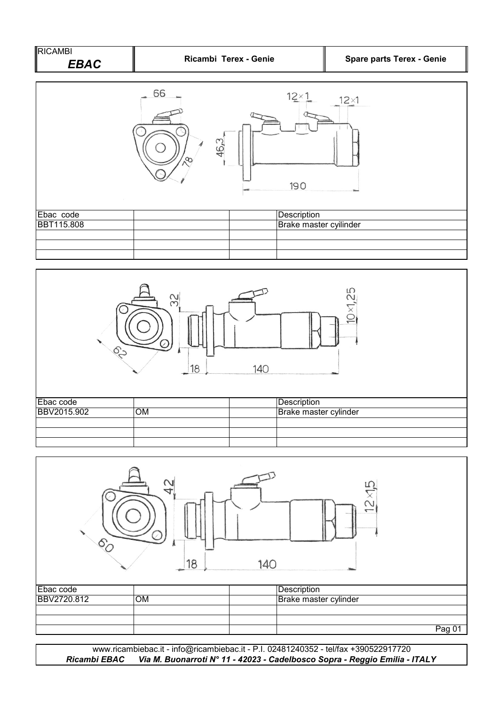| <b>RICAMBI</b> |                       |                                  |
|----------------|-----------------------|----------------------------------|
| EBAC           | Ricambi Terex - Genie | <b>Spare parts Terex - Genie</b> |







*Ricambi EBAC Via M. Buonarroti N° 11 - 42023 - Cadelbosco Sopra - Reggio Emilia - ITALY* www.ricambiebac.it - info@ricambiebac.it - P.I. 02481240352 - tel/fax +390522917720